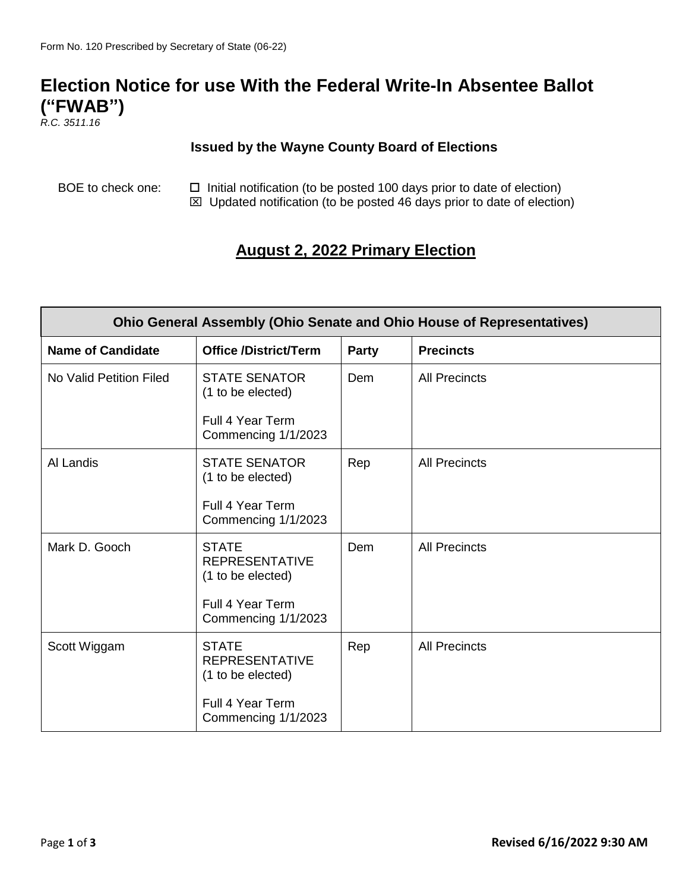## **Election Notice for use With the Federal Write-In Absentee Ballot ("FWAB")**

*R.C. 3511.16*

## **Issued by the Wayne County Board of Elections**

BOE to check one:  $\Box$  Initial notification (to be posted 100 days prior to date of election)  $\boxtimes$  Updated notification (to be posted 46 days prior to date of election)

## **August 2, 2022 Primary Election**

| <b>Ohio General Assembly (Ohio Senate and Ohio House of Representatives)</b> |                                                            |              |                      |  |  |
|------------------------------------------------------------------------------|------------------------------------------------------------|--------------|----------------------|--|--|
| <b>Name of Candidate</b>                                                     | <b>Office /District/Term</b>                               | <b>Party</b> | <b>Precincts</b>     |  |  |
| No Valid Petition Filed                                                      | <b>STATE SENATOR</b><br>(1 to be elected)                  | Dem          | <b>All Precincts</b> |  |  |
|                                                                              | Full 4 Year Term<br>Commencing 1/1/2023                    |              |                      |  |  |
| Al Landis                                                                    | <b>STATE SENATOR</b><br>(1 to be elected)                  | Rep          | <b>All Precincts</b> |  |  |
|                                                                              | Full 4 Year Term<br>Commencing 1/1/2023                    |              |                      |  |  |
| Mark D. Gooch                                                                | <b>STATE</b><br><b>REPRESENTATIVE</b><br>(1 to be elected) | Dem          | <b>All Precincts</b> |  |  |
|                                                                              | Full 4 Year Term<br>Commencing 1/1/2023                    |              |                      |  |  |
| Scott Wiggam                                                                 | <b>STATE</b><br><b>REPRESENTATIVE</b><br>(1 to be elected) | Rep          | <b>All Precincts</b> |  |  |
|                                                                              | Full 4 Year Term<br>Commencing 1/1/2023                    |              |                      |  |  |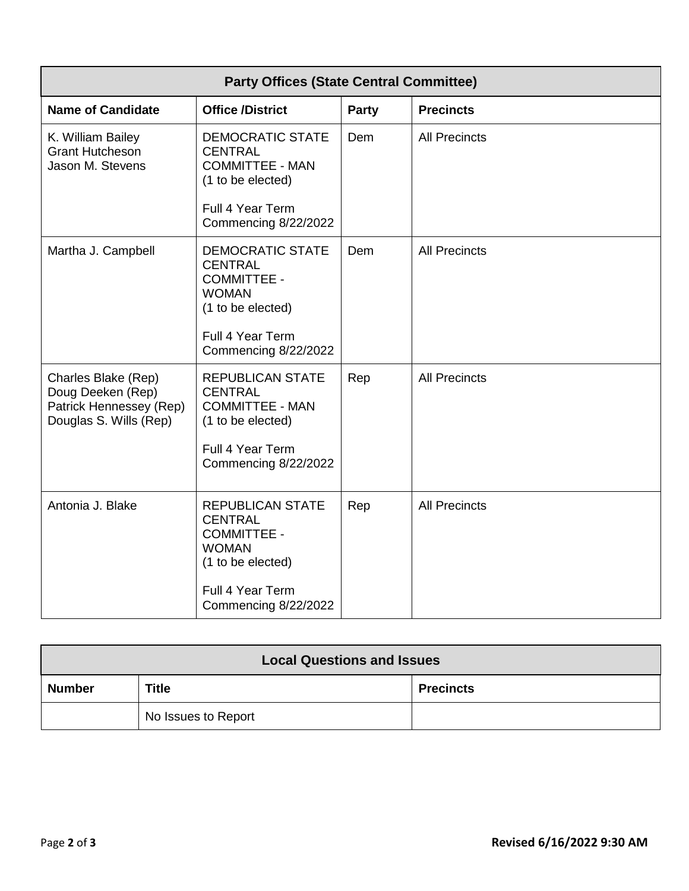| <b>Party Offices (State Central Committee)</b>                                                |                                                                                                                                                  |              |                      |  |  |
|-----------------------------------------------------------------------------------------------|--------------------------------------------------------------------------------------------------------------------------------------------------|--------------|----------------------|--|--|
| <b>Name of Candidate</b>                                                                      | <b>Office /District</b>                                                                                                                          | <b>Party</b> | <b>Precincts</b>     |  |  |
| K. William Bailey<br><b>Grant Hutcheson</b><br>Jason M. Stevens                               | <b>DEMOCRATIC STATE</b><br><b>CENTRAL</b><br><b>COMMITTEE - MAN</b><br>(1 to be elected)<br>Full 4 Year Term                                     | Dem          | <b>All Precincts</b> |  |  |
|                                                                                               | Commencing 8/22/2022                                                                                                                             |              |                      |  |  |
| Martha J. Campbell                                                                            | <b>DEMOCRATIC STATE</b><br><b>CENTRAL</b><br><b>COMMITTEE -</b><br><b>WOMAN</b><br>(1 to be elected)                                             | Dem          | <b>All Precincts</b> |  |  |
|                                                                                               | Full 4 Year Term<br>Commencing 8/22/2022                                                                                                         |              |                      |  |  |
| Charles Blake (Rep)<br>Doug Deeken (Rep)<br>Patrick Hennessey (Rep)<br>Douglas S. Wills (Rep) | <b>REPUBLICAN STATE</b><br><b>CENTRAL</b><br><b>COMMITTEE - MAN</b><br>(1 to be elected)<br>Full 4 Year Term<br>Commencing 8/22/2022             | Rep          | <b>All Precincts</b> |  |  |
| Antonia J. Blake                                                                              | <b>REPUBLICAN STATE</b><br><b>CENTRAL</b><br><b>COMMITTEE -</b><br><b>WOMAN</b><br>(1 to be elected)<br>Full 4 Year Term<br>Commencing 8/22/2022 | Rep          | <b>All Precincts</b> |  |  |

| <b>Local Questions and Issues</b> |                     |                  |  |  |
|-----------------------------------|---------------------|------------------|--|--|
| <b>Number</b>                     | <b>Title</b>        | <b>Precincts</b> |  |  |
|                                   | No Issues to Report |                  |  |  |